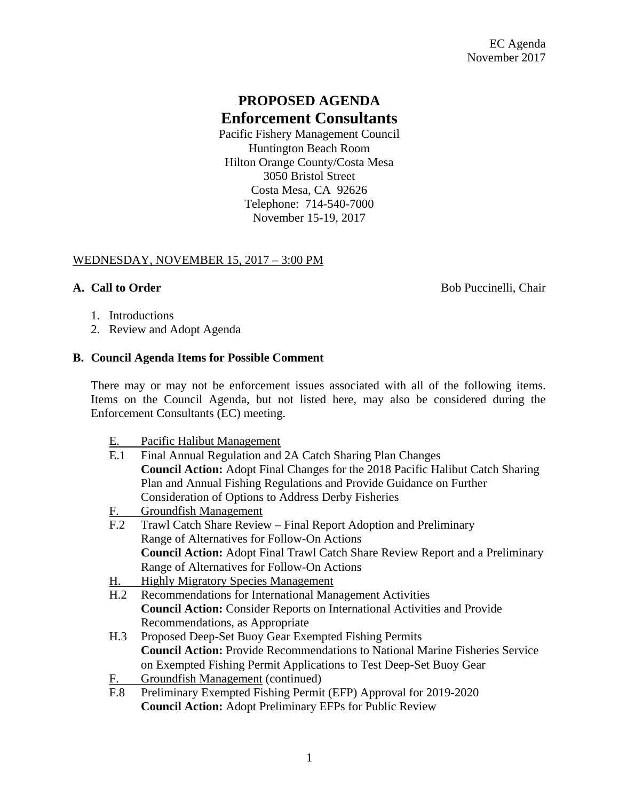# **PROPOSED AGENDA Enforcement Consultants**

Pacific Fishery Management Council Huntington Beach Room Hilton Orange County/Costa Mesa 3050 Bristol Street Costa Mesa, CA 92626 Telephone: 714-540-7000 November 15-19, 2017

### WEDNESDAY, NOVEMBER 15, 2017 – 3:00 PM

**A. Call to Order Bob Puccinelli, Chair** 

- 1. Introductions
- 2. Review and Adopt Agenda

### **B. Council Agenda Items for Possible Comment**

There may or may not be enforcement issues associated with all of the following items. Items on the Council Agenda, but not listed here, may also be considered during the Enforcement Consultants (EC) meeting.

E. Pacific Halibut Management

| E.1             | Final Annual Regulation and 2A Catch Sharing Plan Changes                            |
|-----------------|--------------------------------------------------------------------------------------|
|                 | Council Action: Adopt Final Changes for the 2018 Pacific Halibut Catch Sharing       |
|                 | Plan and Annual Fishing Regulations and Provide Guidance on Further                  |
|                 | <b>Consideration of Options to Address Derby Fisheries</b>                           |
| <u>F. </u>      | <b>Groundfish Management</b>                                                         |
| F <sub>12</sub> | Trawl Catch Share Review – Final Report Adoption and Preliminary                     |
|                 | Range of Alternatives for Follow-On Actions                                          |
|                 | <b>Council Action:</b> Adopt Final Trawl Catch Share Review Report and a Preliminary |
|                 | Range of Alternatives for Follow-On Actions                                          |
| <u>H.</u>       | <b>Highly Migratory Species Management</b>                                           |
| H.2             | Recommendations for International Management Activities                              |
|                 | <b>Council Action:</b> Consider Reports on International Activities and Provide      |
|                 | Recommendations, as Appropriate                                                      |
| H.3             | Proposed Deep-Set Buoy Gear Exempted Fishing Permits                                 |
|                 | <b>Council Action:</b> Provide Recommendations to National Marine Fisheries Service  |
|                 | on Exempted Fishing Permit Applications to Test Deep-Set Buoy Gear                   |
| <u>F.</u>       | Groundfish Management (continued)                                                    |
| F.8             | Preliminary Exempted Fishing Permit (EFP) Approval for 2019-2020                     |
|                 | <b>Council Action:</b> Adopt Preliminary EFPs for Public Review                      |